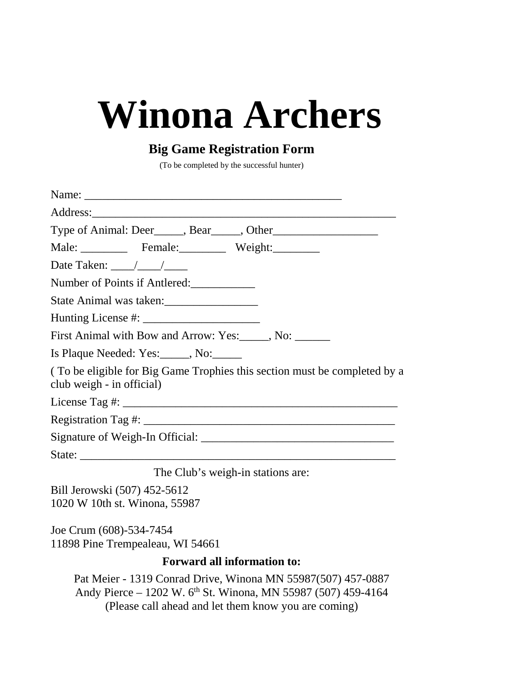# **Winona Archers**

## **Big Game Registration Form**

(To be completed by the successful hunter)

| Male: Female: Weight:                                                                                  |
|--------------------------------------------------------------------------------------------------------|
| Date Taken: $\frac{\sqrt{1-\frac{1}{2}}}{\sqrt{1-\frac{1}{2}}}}$                                       |
| Number of Points if Antlered:                                                                          |
| State Animal was taken:                                                                                |
|                                                                                                        |
| First Animal with Bow and Arrow: Yes: No: _______, No: _______                                         |
| Is Plaque Needed: Yes: No:                                                                             |
| (To be eligible for Big Game Trophies this section must be completed by a<br>club weigh - in official) |
|                                                                                                        |
|                                                                                                        |
|                                                                                                        |
|                                                                                                        |
| The Club's weigh-in stations are:                                                                      |
| Bill Jerowski (507) 452-5612<br>1020 W 10th st. Winona, 55987                                          |

Joe Crum (608)-534-7454 11898 Pine Trempealeau, WI 54661

## **Forward all information to:**

Pat Meier - 1319 Conrad Drive, Winona MN 55987(507) 457-0887 Andy Pierce – 1202 W. 6<sup>th</sup> St. Winona, MN 55987 (507) 459-4164 (Please call ahead and let them know you are coming)